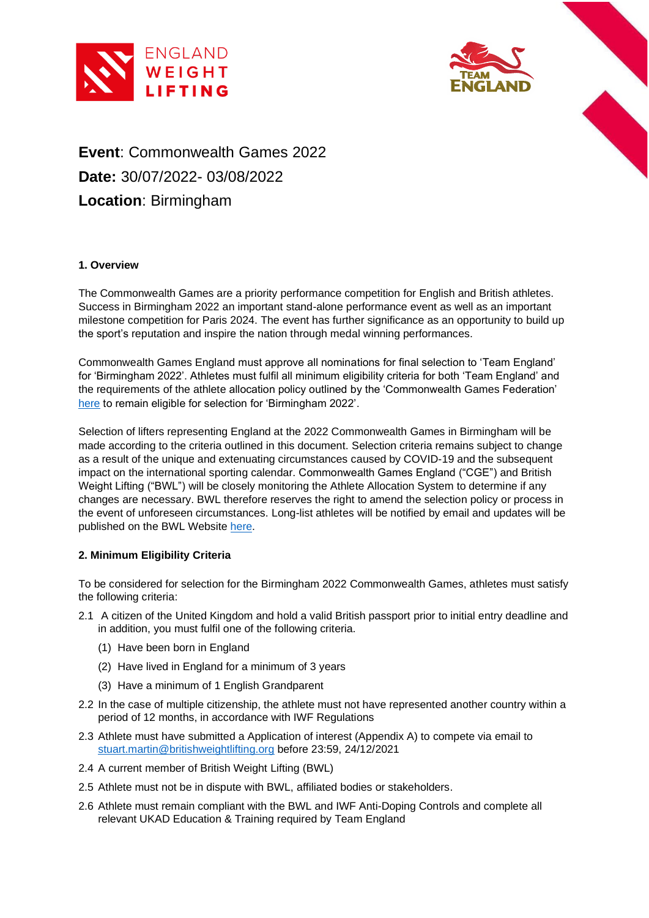



# **Event**: Commonwealth Games 2022 **Date:** 30/07/2022- 03/08/2022 **Location**: Birmingham

## **1. Overview**

The Commonwealth Games are a priority performance competition for English and British athletes. Success in Birmingham 2022 an important stand-alone performance event as well as an important milestone competition for Paris 2024. The event has further significance as an opportunity to build up the sport's reputation and inspire the nation through medal winning performances.

Commonwealth Games England must approve all nominations for final selection to 'Team England' for 'Birmingham 2022'. Athletes must fulfil all minimum eligibility criteria for both 'Team England' and the requirements of the athlete allocation policy outlined by the 'Commonwealth Games Federation' [here](https://iwf.sport/downloads/?did=2048) to remain eligible for selection for 'Birmingham 2022'.

Selection of lifters representing England at the 2022 Commonwealth Games in Birmingham will be made according to the criteria outlined in this document. Selection criteria remains subject to change as a result of the unique and extenuating circumstances caused by COVID-19 and the subsequent impact on the international sporting calendar. Commonwealth Games England ("CGE") and British Weight Lifting ("BWL") will be closely monitoring the Athlete Allocation System to determine if any changes are necessary. BWL therefore reserves the right to amend the selection policy or process in the event of unforeseen circumstances. Long-list athletes will be notified by email and updates will be published on the BWL Website [here.](https://britishweightlifting.org/performance/international-qualification)

## **2. Minimum Eligibility Criteria**

To be considered for selection for the Birmingham 2022 Commonwealth Games, athletes must satisfy the following criteria:

- 2.1 A citizen of the United Kingdom and hold a valid British passport prior to initial entry deadline and in addition, you must fulfil one of the following criteria.
	- (1) Have been born in England
	- (2) Have lived in England for a minimum of 3 years
	- (3) Have a minimum of 1 English Grandparent
- 2.2 In the case of multiple citizenship, the athlete must not have represented another country within a period of 12 months, in accordance with IWF Regulations
- 2.3 Athlete must have submitted a Application of interest (Appendix A) to compete via email to [stuart.martin@britishweightlifting.org](mailto:stuart.martin@britishweightlifting.org) before 23:59, 24/12/2021
- 2.4 A current member of British Weight Lifting (BWL)
- 2.5 Athlete must not be in dispute with BWL, affiliated bodies or stakeholders.
- 2.6 Athlete must remain compliant with the BWL and IWF Anti-Doping Controls and complete all relevant UKAD Education & Training required by Team England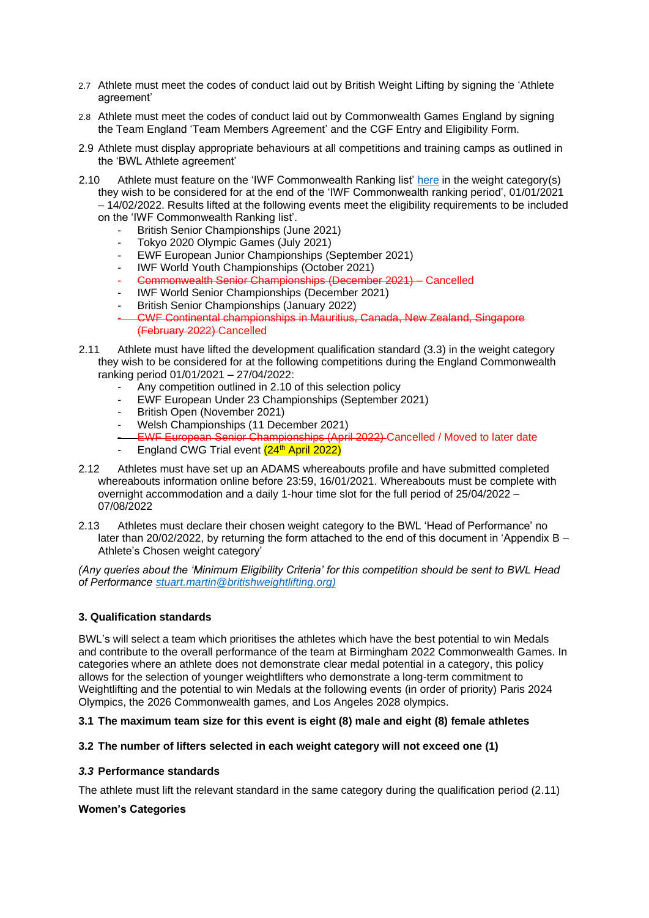- 2.7 Athlete must meet the codes of conduct laid out by British Weight Lifting by signing the 'Athlete agreement'
- 2.8 Athlete must meet the codes of conduct laid out by Commonwealth Games England by signing the Team England 'Team Members Agreement' and the CGF Entry and Eligibility Form.
- 2.9 Athlete must display appropriate behaviours at all competitions and training camps as outlined in the 'BWL Athlete agreement'
- 2.10 Athlete must feature on the 'IWF Commonwealth Ranking list' [here](https://iwf.sport/downloads/?did=2049) in the weight category(s) they wish to be considered for at the end of the 'IWF Commonwealth ranking period', 01/01/2021 – 14/02/2022. Results lifted at the following events meet the eligibility requirements to be included on the 'IWF Commonwealth Ranking list'.
	- British Senior Championships (June 2021)
	- Tokyo 2020 Olympic Games (July 2021)
	- EWF European Junior Championships (September 2021)
	- IWF World Youth Championships (October 2021)
	- Commonwealth Senior Championships (December 2021) Cancelled
	- IWF World Senior Championships (December 2021)
	- British Senior Championships (January 2022)
	- CWF Continental championships in Mauritius, Canada, New Zealand, Singapore (February 2022) Cancelled
- 2.11 Athlete must have lifted the development qualification standard (3.3) in the weight category they wish to be considered for at the following competitions during the England Commonwealth ranking period 01/01/2021 – 27/04/2022:
	- Any competition outlined in 2.10 of this selection policy
	- EWF European Under 23 Championships (September 2021)
	- British Open (November 2021)
	- Welsh Championships (11 December 2021)
	- EWF European Senior Championships (April 2022) Cancelled / Moved to later date
	- England CWG Trial event (24<sup>th</sup> April 2022)
- 2.12 Athletes must have set up an ADAMS whereabouts profile and have submitted completed whereabouts information online before 23:59, 16/01/2021. Whereabouts must be complete with overnight accommodation and a daily 1-hour time slot for the full period of 25/04/2022 – 07/08/2022
- 2.13 Athletes must declare their chosen weight category to the BWL 'Head of Performance' no later than 20/02/2022, by returning the form attached to the end of this document in 'Appendix B – Athlete's Chosen weight category'

*(Any queries about the 'Minimum Eligibility Criteria' for this competition should be sent to BWL Head of Performance [stuart.martin@britishweightlifting.org\)](mailto:stuart.martin@britishweightlifting.org)*

## **3. Qualification standards**

BWL's will select a team which prioritises the athletes which have the best potential to win Medals and contribute to the overall performance of the team at Birmingham 2022 Commonwealth Games. In categories where an athlete does not demonstrate clear medal potential in a category, this policy allows for the selection of younger weightlifters who demonstrate a long-term commitment to Weightlifting and the potential to win Medals at the following events (in order of priority) Paris 2024 Olympics, the 2026 Commonwealth games, and Los Angeles 2028 olympics.

## **3.1 The maximum team size for this event is eight (8) male and eight (8) female athletes**

## **3.2 The number of lifters selected in each weight category will not exceed one (1)**

## *3.3* **Performance standards**

The athlete must lift the relevant standard in the same category during the qualification period (2.11)

## **Women's Categories**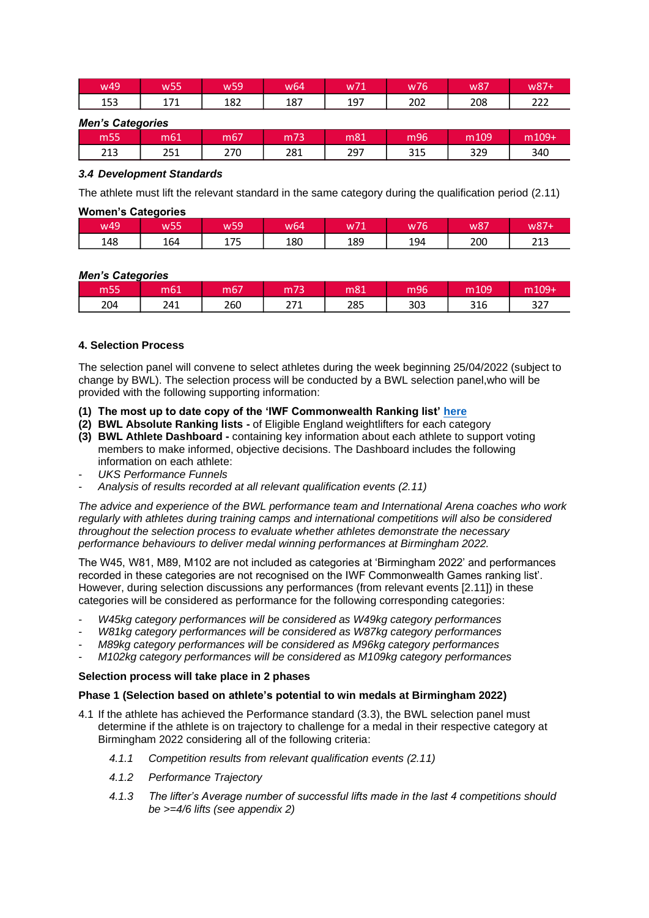| w49 | --<br>W55  | w59 | w64 | $\rightarrow$<br>w71 | w76 | w87 | <b>w87</b> |
|-----|------------|-----|-----|----------------------|-----|-----|------------|
| 153 | 174<br>ᆠᄼᆠ | 182 | 187 | 197                  | 202 | 208 | 222        |

*Men's Categories*

| m55 | m61        | $\sim$<br>m67 | 250 | m81 | m96        | m109 | $m109 +$ |
|-----|------------|---------------|-----|-----|------------|------|----------|
| 213 | つら1<br>∠J⊥ | 270           | 281 | 297 | 24F<br>315 | 329  | 340      |

## *3.4 Development Standards*

The athlete must lift the relevant standard in the same category during the qualification period (2.11)

## **Women's Categories**

| w49 | w <sub>55</sub> | w <sub>59</sub> | w64 | w71 | w76 | w87 | w87+ |
|-----|-----------------|-----------------|-----|-----|-----|-----|------|
| 148 | 164             | 175             | 180 | 189 | 194 | 200 | 213  |

## *Men's Categories*

| m55 | m61 | m67 | m <sub>73</sub>     | m81 | m96 | m109 | m109+ |
|-----|-----|-----|---------------------|-----|-----|------|-------|
| 204 | 241 | 260 | 771<br><u> 41 L</u> | 285 | 303 | 316  | 327   |

## **4. Selection Process**

The selection panel will convene to select athletes during the week beginning 25/04/2022 (subject to change by BWL). The selection process will be conducted by a BWL selection panel,who will be provided with the following supporting information:

- **(1) The most up to date copy of the 'IWF Commonwealth Ranking list' [here](https://iwf.sport/downloads/?did=2049)**
- **(2) BWL Absolute Ranking lists -** of Eligible England weightlifters for each category
- **(3) BWL Athlete Dashboard -** containing key information about each athlete to support voting members to make informed, objective decisions. The Dashboard includes the following information on each athlete:
- *UKS Performance Funnels*
- *Analysis of results recorded at all relevant qualification events (2.11)*

*The advice and experience of the BWL performance team and International Arena coaches who work regularly with athletes during training camps and international competitions will also be considered throughout the selection process to evaluate whether athletes demonstrate the necessary performance behaviours to deliver medal winning performances at Birmingham 2022.*

The W45, W81, M89, M102 are not included as categories at 'Birmingham 2022' and performances recorded in these categories are not recognised on the IWF Commonwealth Games ranking list'. However, during selection discussions any performances (from relevant events [2.11]) in these categories will be considered as performance for the following corresponding categories:

- *W45kg category performances will be considered as W49kg category performances*
- *W81kg category performances will be considered as W87kg category performances*
- *M89kg category performances will be considered as M96kg category performances*
- *M102kg category performances will be considered as M109kg category performances*

## **Selection process will take place in 2 phases**

## **Phase 1 (Selection based on athlete's potential to win medals at Birmingham 2022)**

- 4.1 If the athlete has achieved the Performance standard (3.3), the BWL selection panel must determine if the athlete is on trajectory to challenge for a medal in their respective category at Birmingham 2022 considering all of the following criteria:
	- *4.1.1 Competition results from relevant qualification events (2.11)*
	- *4.1.2 Performance Trajectory*
	- *4.1.3 The lifter's Average number of successful lifts made in the last 4 competitions should be >=4/6 lifts (see appendix 2)*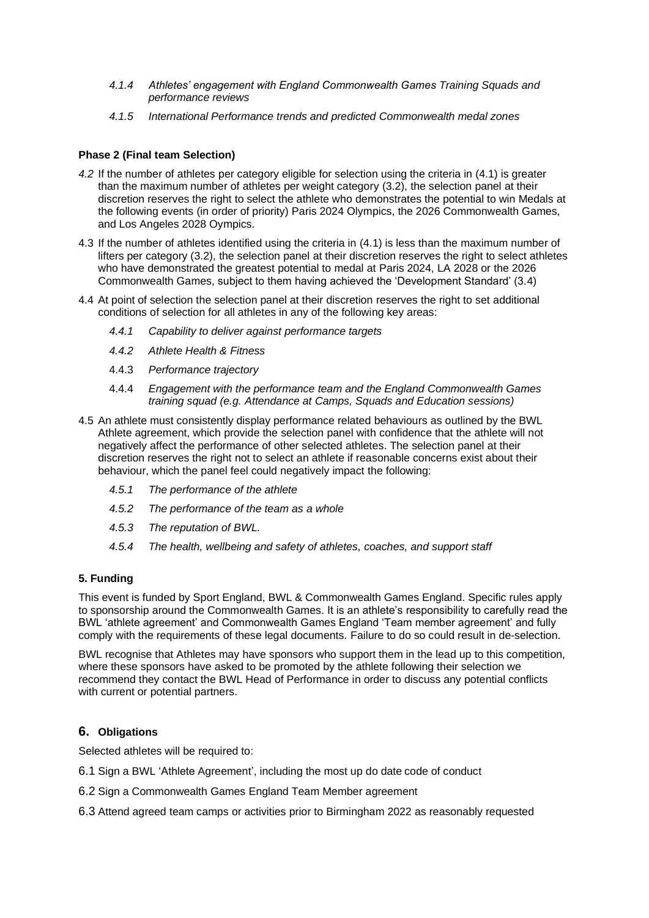- *4.1.4 Athletes' engagement with England Commonwealth Games Training Squads and performance reviews*
- *4.1.5 International Performance trends and predicted Commonwealth medal zones*

## **Phase 2 (Final team Selection)**

- *4.2* If the number of athletes per category eligible for selection using the criteria in (4.1) is greater than the maximum number of athletes per weight category (3.2), the selection panel at their discretion reserves the right to select the athlete who demonstrates the potential to win Medals at the following events (in order of priority) Paris 2024 Olympics, the 2026 Commonwealth Games, and Los Angeles 2028 Oympics.
- 4.3 If the number of athletes identified using the criteria in (4.1) is less than the maximum number of lifters per category (3.2), the selection panel at their discretion reserves the right to select athletes who have demonstrated the greatest potential to medal at Paris 2024, LA 2028 or the 2026 Commonwealth Games, subject to them having achieved the 'Development Standard' (3.4)
- 4.4 At point of selection the selection panel at their discretion reserves the right to set additional conditions of selection for all athletes in any of the following key areas:
	- *4.4.1 Capability to deliver against performance targets*
	- *4.4.2 Athlete Health & Fitness*
	- 4.4.3 *Performance trajectory*
	- 4.4.4 *Engagement with the performance team and the England Commonwealth Games training squad (e.g. Attendance at Camps, Squads and Education sessions)*
- 4.5 An athlete must consistently display performance related behaviours as outlined by the BWL Athlete agreement, which provide the selection panel with confidence that the athlete will not negatively affect the performance of other selected athletes. The selection panel at their discretion reserves the right not to select an athlete if reasonable concerns exist about their behaviour, which the panel feel could negatively impact the following:
	- *4.5.1 The performance of the athlete*
	- *4.5.2 The performance of the team as a whole*
	- *4.5.3 The reputation of BWL.*
	- *4.5.4 The health, wellbeing and safety of athletes, coaches, and support staff*

## **5. Funding**

This event is funded by Sport England, BWL & Commonwealth Games England. Specific rules apply to sponsorship around the Commonwealth Games. It is an athlete's responsibility to carefully read the BWL 'athlete agreement' and Commonwealth Games England 'Team member agreement' and fully comply with the requirements of these legal documents. Failure to do so could result in de-selection.

BWL recognise that Athletes may have sponsors who support them in the lead up to this competition, where these sponsors have asked to be promoted by the athlete following their selection we recommend they contact the BWL Head of Performance in order to discuss any potential conflicts with current or potential partners.

## **6. Obligations**

Selected athletes will be required to:

- 6.1 Sign a BWL 'Athlete Agreement', including the most up do date code of conduct
- 6.2 Sign a Commonwealth Games England Team Member agreement
- 6.3 Attend agreed team camps or activities prior to Birmingham 2022 as reasonably requested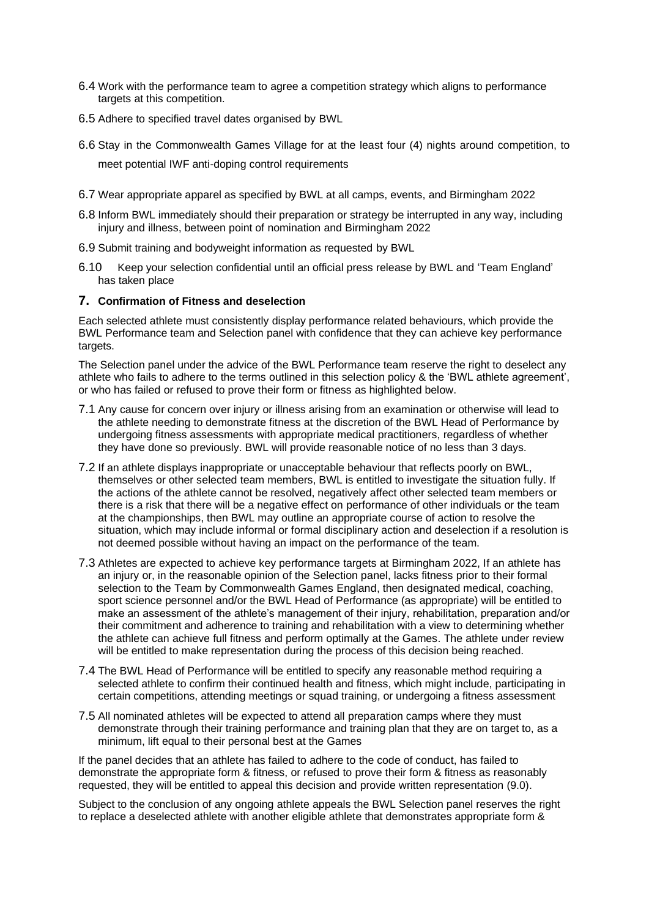- 6.4 Work with the performance team to agree a competition strategy which aligns to performance targets at this competition.
- 6.5 Adhere to specified travel dates organised by BWL
- 6.6 Stay in the Commonwealth Games Village for at the least four (4) nights around competition, to meet potential IWF anti-doping control requirements
- 6.7 Wear appropriate apparel as specified by BWL at all camps, events, and Birmingham 2022
- 6.8 Inform BWL immediately should their preparation or strategy be interrupted in any way, including injury and illness, between point of nomination and Birmingham 2022
- 6.9 Submit training and bodyweight information as requested by BWL
- 6.10 Keep your selection confidential until an official press release by BWL and 'Team England' has taken place

## **7. Confirmation of Fitness and deselection**

Each selected athlete must consistently display performance related behaviours, which provide the BWL Performance team and Selection panel with confidence that they can achieve key performance targets.

The Selection panel under the advice of the BWL Performance team reserve the right to deselect any athlete who fails to adhere to the terms outlined in this selection policy & the 'BWL athlete agreement', or who has failed or refused to prove their form or fitness as highlighted below.

- 7.1 Any cause for concern over injury or illness arising from an examination or otherwise will lead to the athlete needing to demonstrate fitness at the discretion of the BWL Head of Performance by undergoing fitness assessments with appropriate medical practitioners, regardless of whether they have done so previously. BWL will provide reasonable notice of no less than 3 days.
- 7.2 If an athlete displays inappropriate or unacceptable behaviour that reflects poorly on BWL, themselves or other selected team members, BWL is entitled to investigate the situation fully. If the actions of the athlete cannot be resolved, negatively affect other selected team members or there is a risk that there will be a negative effect on performance of other individuals or the team at the championships, then BWL may outline an appropriate course of action to resolve the situation, which may include informal or formal disciplinary action and deselection if a resolution is not deemed possible without having an impact on the performance of the team.
- 7.3 Athletes are expected to achieve key performance targets at Birmingham 2022, If an athlete has an injury or, in the reasonable opinion of the Selection panel, lacks fitness prior to their formal selection to the Team by Commonwealth Games England, then designated medical, coaching, sport science personnel and/or the BWL Head of Performance (as appropriate) will be entitled to make an assessment of the athlete's management of their injury, rehabilitation, preparation and/or their commitment and adherence to training and rehabilitation with a view to determining whether the athlete can achieve full fitness and perform optimally at the Games. The athlete under review will be entitled to make representation during the process of this decision being reached.
- 7.4 The BWL Head of Performance will be entitled to specify any reasonable method requiring a selected athlete to confirm their continued health and fitness, which might include, participating in certain competitions, attending meetings or squad training, or undergoing a fitness assessment
- 7.5 All nominated athletes will be expected to attend all preparation camps where they must demonstrate through their training performance and training plan that they are on target to, as a minimum, lift equal to their personal best at the Games

If the panel decides that an athlete has failed to adhere to the code of conduct, has failed to demonstrate the appropriate form & fitness, or refused to prove their form & fitness as reasonably requested, they will be entitled to appeal this decision and provide written representation (9.0).

Subject to the conclusion of any ongoing athlete appeals the BWL Selection panel reserves the right to replace a deselected athlete with another eligible athlete that demonstrates appropriate form &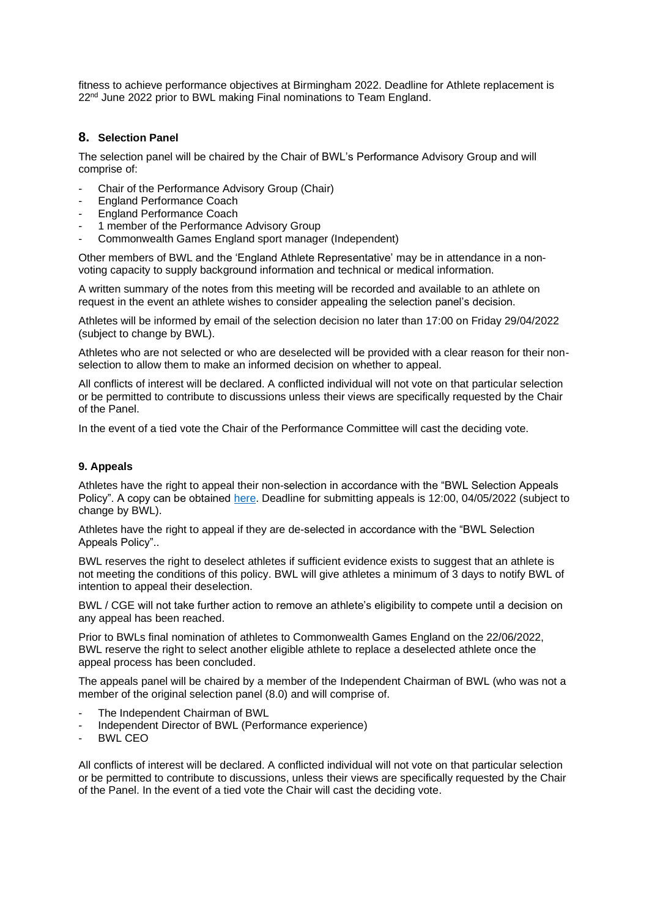fitness to achieve performance objectives at Birmingham 2022. Deadline for Athlete replacement is 22<sup>nd</sup> June 2022 prior to BWL making Final nominations to Team England.

## **8. Selection Panel**

The selection panel will be chaired by the Chair of BWL's Performance Advisory Group and will comprise of:

- Chair of the Performance Advisory Group (Chair)
- England Performance Coach
- England Performance Coach
- 1 member of the Performance Advisory Group
- Commonwealth Games England sport manager (Independent)

Other members of BWL and the 'England Athlete Representative' may be in attendance in a nonvoting capacity to supply background information and technical or medical information.

A written summary of the notes from this meeting will be recorded and available to an athlete on request in the event an athlete wishes to consider appealing the selection panel's decision.

Athletes will be informed by email of the selection decision no later than 17:00 on Friday 29/04/2022 (subject to change by BWL).

Athletes who are not selected or who are deselected will be provided with a clear reason for their nonselection to allow them to make an informed decision on whether to appeal.

All conflicts of interest will be declared. A conflicted individual will not vote on that particular selection or be permitted to contribute to discussions unless their views are specifically requested by the Chair of the Panel.

In the event of a tied vote the Chair of the Performance Committee will cast the deciding vote.

## **9. Appeals**

Athletes have the right to appeal their non-selection in accordance with the "BWL Selection Appeals Policy". A copy can be obtained [here.](https://britishweightlifting.org/resources/bwl-selection-policy---appeal-procedure-for-b2022-commonwealth-games-091221085909.pdf) Deadline for submitting appeals is 12:00, 04/05/2022 (subject to change by BWL).

Athletes have the right to appeal if they are de-selected in accordance with the "BWL Selection Appeals Policy"..

BWL reserves the right to deselect athletes if sufficient evidence exists to suggest that an athlete is not meeting the conditions of this policy. BWL will give athletes a minimum of 3 days to notify BWL of intention to appeal their deselection.

BWL / CGE will not take further action to remove an athlete's eligibility to compete until a decision on any appeal has been reached.

Prior to BWLs final nomination of athletes to Commonwealth Games England on the 22/06/2022, BWL reserve the right to select another eligible athlete to replace a deselected athlete once the appeal process has been concluded.

The appeals panel will be chaired by a member of the Independent Chairman of BWL (who was not a member of the original selection panel (8.0) and will comprise of.

- The Independent Chairman of BWL
- Independent Director of BWL (Performance experience)
- BWL CEO

All conflicts of interest will be declared. A conflicted individual will not vote on that particular selection or be permitted to contribute to discussions, unless their views are specifically requested by the Chair of the Panel. In the event of a tied vote the Chair will cast the deciding vote.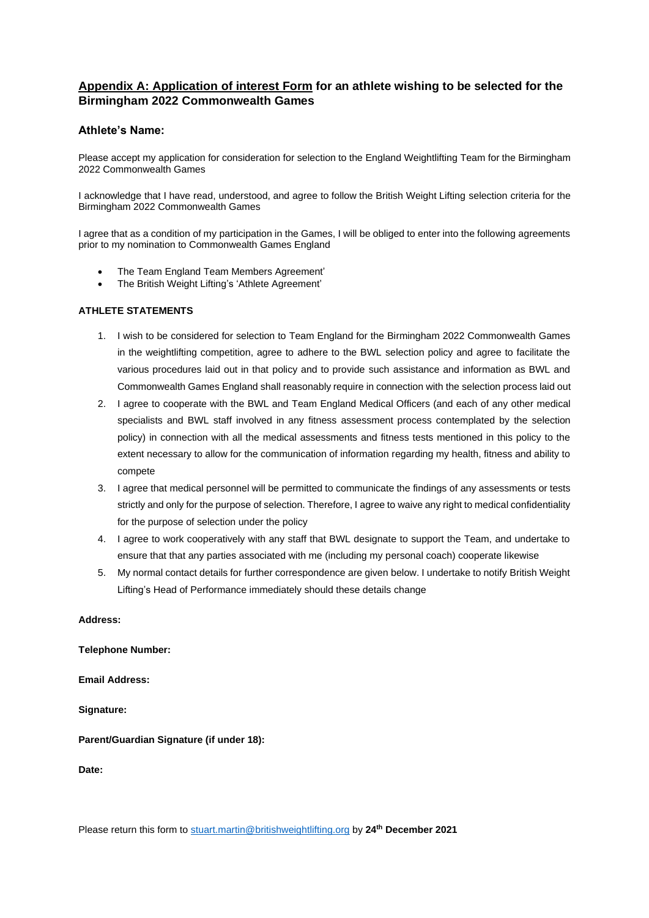# **Appendix A: Application of interest Form for an athlete wishing to be selected for the Birmingham 2022 Commonwealth Games**

## **Athlete's Name:**

Please accept my application for consideration for selection to the England Weightlifting Team for the Birmingham 2022 Commonwealth Games

I acknowledge that I have read, understood, and agree to follow the British Weight Lifting selection criteria for the Birmingham 2022 Commonwealth Games

I agree that as a condition of my participation in the Games, I will be obliged to enter into the following agreements prior to my nomination to Commonwealth Games England

- The Team England Team Members Agreement'
- The British Weight Lifting's 'Athlete Agreement'

#### **ATHLETE STATEMENTS**

- 1. I wish to be considered for selection to Team England for the Birmingham 2022 Commonwealth Games in the weightlifting competition, agree to adhere to the BWL selection policy and agree to facilitate the various procedures laid out in that policy and to provide such assistance and information as BWL and Commonwealth Games England shall reasonably require in connection with the selection process laid out
- 2. I agree to cooperate with the BWL and Team England Medical Officers (and each of any other medical specialists and BWL staff involved in any fitness assessment process contemplated by the selection policy) in connection with all the medical assessments and fitness tests mentioned in this policy to the extent necessary to allow for the communication of information regarding my health, fitness and ability to compete
- 3. I agree that medical personnel will be permitted to communicate the findings of any assessments or tests strictly and only for the purpose of selection. Therefore, I agree to waive any right to medical confidentiality for the purpose of selection under the policy
- 4. I agree to work cooperatively with any staff that BWL designate to support the Team, and undertake to ensure that that any parties associated with me (including my personal coach) cooperate likewise
- 5. My normal contact details for further correspondence are given below. I undertake to notify British Weight Lifting's Head of Performance immediately should these details change

#### **Address:**

**Telephone Number:**

**Email Address:**

**Signature:**

**Parent/Guardian Signature (if under 18):**

**Date:**

Please return this form to stuart.martin@britishweightlifting.org by **24th December 2021**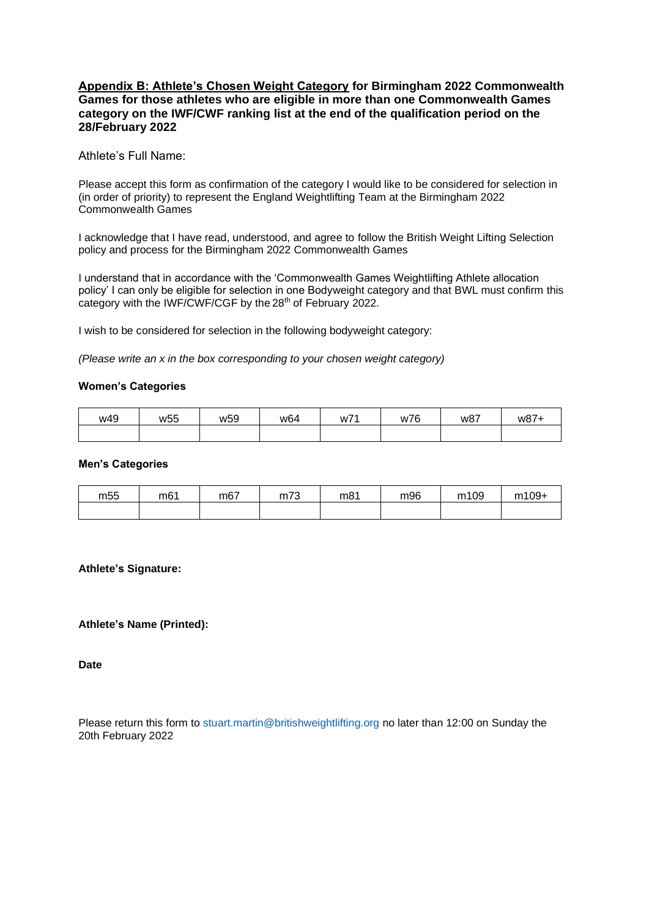# **Appendix B: Athlete's Chosen Weight Category for Birmingham 2022 Commonwealth Games for those athletes who are eligible in more than one Commonwealth Games category on the IWF/CWF ranking list at the end of the qualification period on the 28/February 2022**

Athlete's Full Name:

Please accept this form as confirmation of the category I would like to be considered for selection in (in order of priority) to represent the England Weightlifting Team at the Birmingham 2022 Commonwealth Games

I acknowledge that I have read, understood, and agree to follow the British Weight Lifting Selection policy and process for the Birmingham 2022 Commonwealth Games

I understand that in accordance with the 'Commonwealth Games Weightlifting Athlete allocation policy' I can only be eligible for selection in one Bodyweight category and that BWL must confirm this category with the IWF/CWF/CGF by the 28<sup>th</sup> of February 2022.

I wish to be considered for selection in the following bodyweight category:

*(Please write an x in the box corresponding to your chosen weight category)*

## **Women's Categories**

| w49 | w <sub>55</sub> | w <sub>59</sub> | w <sub>64</sub> | W7' | w76 | w87 | w87- |
|-----|-----------------|-----------------|-----------------|-----|-----|-----|------|
|     |                 |                 |                 |     |     |     |      |

#### **Men's Categories**

| m <sub>55</sub> | m <sub>61</sub> | m67 | m73 | m81 | m96 | m109 | m109+ |
|-----------------|-----------------|-----|-----|-----|-----|------|-------|
|                 |                 |     |     |     |     |      |       |

## **Athlete's Signature:**

## **Athlete's Name (Printed):**

**Date** 

Please return this form to stuart.martin@britishweightlifting.org no later than 12:00 on Sunday the 20th February 2022